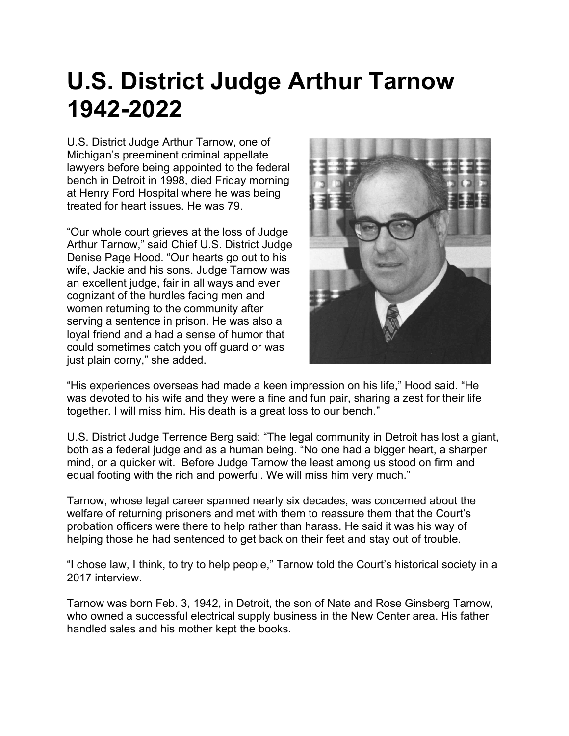## **U.S. District Judge Arthur Tarnow 1942-2022**

U.S. District Judge Arthur Tarnow, one of Michigan's preeminent criminal appellate lawyers before being appointed to the federal bench in Detroit in 1998, died Friday morning at Henry Ford Hospital where he was being treated for heart issues. He was 79.

"Our whole court grieves at the loss of Judge Arthur Tarnow," said Chief U.S. District Judge Denise Page Hood. "Our hearts go out to his wife, Jackie and his sons. Judge Tarnow was an excellent judge, fair in all ways and ever cognizant of the hurdles facing men and women returning to the community after serving a sentence in prison. He was also a loyal friend and a had a sense of humor that could sometimes catch you off guard or was just plain corny," she added.



"His experiences overseas had made a keen impression on his life," Hood said. "He was devoted to his wife and they were a fine and fun pair, sharing a zest for their life together. I will miss him. His death is a great loss to our bench."

U.S. District Judge Terrence Berg said: "The legal community in Detroit has lost a giant, both as a federal judge and as a human being. "No one had a bigger heart, a sharper mind, or a quicker wit. Before Judge Tarnow the least among us stood on firm and equal footing with the rich and powerful. We will miss him very much."

Tarnow, whose legal career spanned nearly six decades, was concerned about the welfare of returning prisoners and met with them to reassure them that the Court's probation officers were there to help rather than harass. He said it was his way of helping those he had sentenced to get back on their feet and stay out of trouble.

"I chose law, I think, to try to help people," Tarnow told the Court's historical society in a 2017 interview.

Tarnow was born Feb. 3, 1942, in Detroit, the son of Nate and Rose Ginsberg Tarnow, who owned a successful electrical supply business in the New Center area. His father handled sales and his mother kept the books.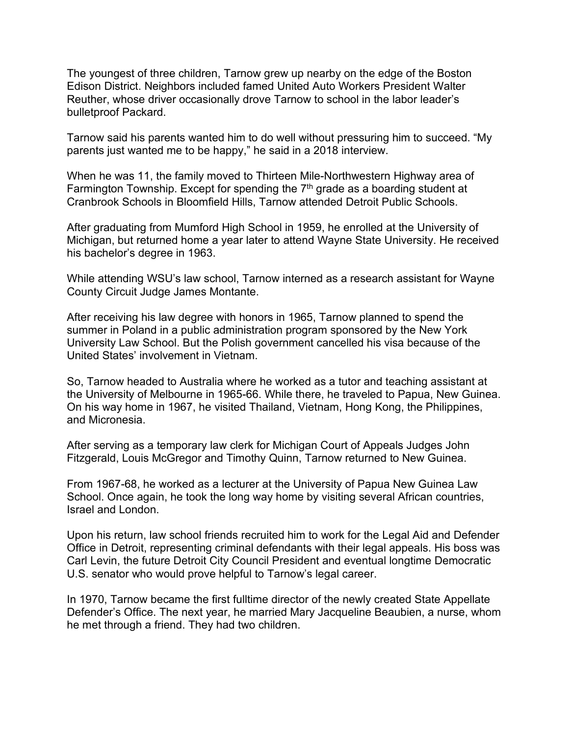The youngest of three children, Tarnow grew up nearby on the edge of the Boston Edison District. Neighbors included famed United Auto Workers President Walter Reuther, whose driver occasionally drove Tarnow to school in the labor leader's bulletproof Packard.

Tarnow said his parents wanted him to do well without pressuring him to succeed. "My parents just wanted me to be happy," he said in a 2018 interview.

When he was 11, the family moved to Thirteen Mile-Northwestern Highway area of Farmington Township. Except for spending the 7<sup>th</sup> grade as a boarding student at Cranbrook Schools in Bloomfield Hills, Tarnow attended Detroit Public Schools.

After graduating from Mumford High School in 1959, he enrolled at the University of Michigan, but returned home a year later to attend Wayne State University. He received his bachelor's degree in 1963.

While attending WSU's law school, Tarnow interned as a research assistant for Wayne County Circuit Judge James Montante.

After receiving his law degree with honors in 1965, Tarnow planned to spend the summer in Poland in a public administration program sponsored by the New York University Law School. But the Polish government cancelled his visa because of the United States' involvement in Vietnam.

So, Tarnow headed to Australia where he worked as a tutor and teaching assistant at the University of Melbourne in 1965-66. While there, he traveled to Papua, New Guinea. On his way home in 1967, he visited Thailand, Vietnam, Hong Kong, the Philippines, and Micronesia.

After serving as a temporary law clerk for Michigan Court of Appeals Judges John Fitzgerald, Louis McGregor and Timothy Quinn, Tarnow returned to New Guinea.

From 1967-68, he worked as a lecturer at the University of Papua New Guinea Law School. Once again, he took the long way home by visiting several African countries, Israel and London.

Upon his return, law school friends recruited him to work for the Legal Aid and Defender Office in Detroit, representing criminal defendants with their legal appeals. His boss was Carl Levin, the future Detroit City Council President and eventual longtime Democratic U.S. senator who would prove helpful to Tarnow's legal career.

In 1970, Tarnow became the first fulltime director of the newly created State Appellate Defender's Office. The next year, he married Mary Jacqueline Beaubien, a nurse, whom he met through a friend. They had two children.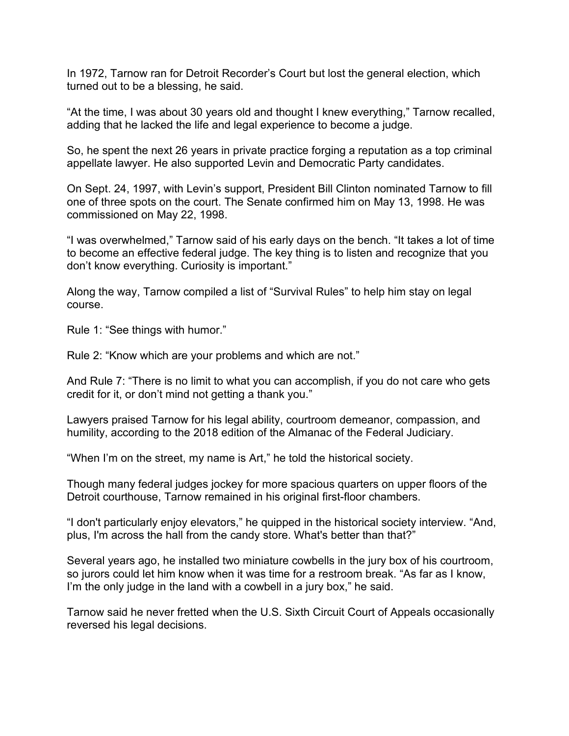In 1972, Tarnow ran for Detroit Recorder's Court but lost the general election, which turned out to be a blessing, he said.

"At the time, I was about 30 years old and thought I knew everything," Tarnow recalled, adding that he lacked the life and legal experience to become a judge.

So, he spent the next 26 years in private practice forging a reputation as a top criminal appellate lawyer. He also supported Levin and Democratic Party candidates.

On Sept. 24, 1997, with Levin's support, President Bill Clinton nominated Tarnow to fill one of three spots on the court. The Senate confirmed him on May 13, 1998. He was commissioned on May 22, 1998.

"I was overwhelmed," Tarnow said of his early days on the bench. "It takes a lot of time to become an effective federal judge. The key thing is to listen and recognize that you don't know everything. Curiosity is important."

Along the way, Tarnow compiled a list of "Survival Rules" to help him stay on legal course.

Rule 1: "See things with humor."

Rule 2: "Know which are your problems and which are not."

And Rule 7: "There is no limit to what you can accomplish, if you do not care who gets credit for it, or don't mind not getting a thank you."

Lawyers praised Tarnow for his legal ability, courtroom demeanor, compassion, and humility, according to the 2018 edition of the Almanac of the Federal Judiciary.

"When I'm on the street, my name is Art," he told the historical society.

Though many federal judges jockey for more spacious quarters on upper floors of the Detroit courthouse, Tarnow remained in his original first-floor chambers.

"I don't particularly enjoy elevators," he quipped in the historical society interview. "And, plus, I'm across the hall from the candy store. What's better than that?"

Several years ago, he installed two miniature cowbells in the jury box of his courtroom, so jurors could let him know when it was time for a restroom break. "As far as I know, I'm the only judge in the land with a cowbell in a jury box," he said.

Tarnow said he never fretted when the U.S. Sixth Circuit Court of Appeals occasionally reversed his legal decisions.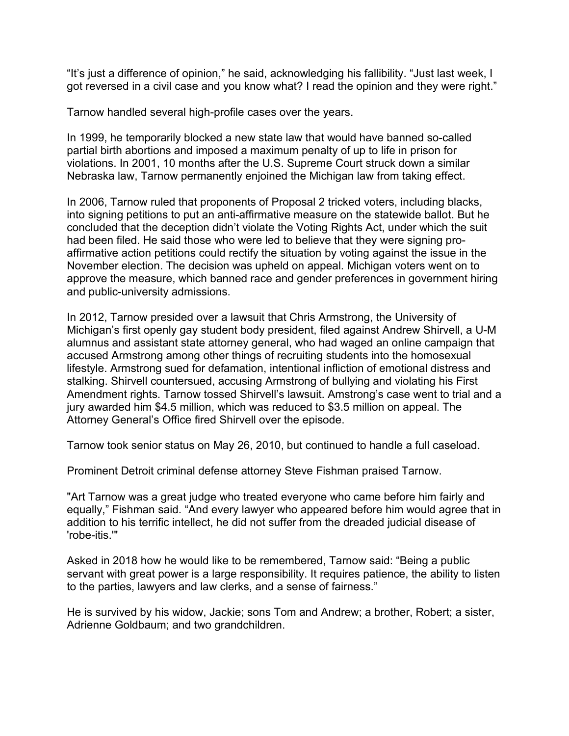"It's just a difference of opinion," he said, acknowledging his fallibility. "Just last week, I got reversed in a civil case and you know what? I read the opinion and they were right."

Tarnow handled several high-profile cases over the years.

In 1999, he temporarily blocked a new state law that would have banned so-called partial birth abortions and imposed a maximum penalty of up to life in prison for violations. In 2001, 10 months after the U.S. Supreme Court struck down a similar Nebraska law, Tarnow permanently enjoined the Michigan law from taking effect.

In 2006, Tarnow ruled that proponents of Proposal 2 tricked voters, including blacks, into signing petitions to put an anti-affirmative measure on the statewide ballot. But he concluded that the deception didn't violate the Voting Rights Act, under which the suit had been filed. He said those who were led to believe that they were signing proaffirmative action petitions could rectify the situation by voting against the issue in the November election. The decision was upheld on appeal. Michigan voters went on to approve the measure, which banned race and gender preferences in government hiring and public-university admissions.

In 2012, Tarnow presided over a lawsuit that Chris Armstrong, the University of Michigan's first openly gay student body president, filed against Andrew Shirvell, a U-M alumnus and assistant state attorney general, who had waged an online campaign that accused Armstrong among other things of recruiting students into the homosexual lifestyle. Armstrong sued for defamation, intentional infliction of emotional distress and stalking. Shirvell countersued, accusing Armstrong of bullying and violating his First Amendment rights. Tarnow tossed Shirvell's lawsuit. Amstrong's case went to trial and a jury awarded him \$4.5 million, which was reduced to \$3.5 million on appeal. The Attorney General's Office fired Shirvell over the episode.

Tarnow took senior status on May 26, 2010, but continued to handle a full caseload.

Prominent Detroit criminal defense attorney Steve Fishman praised Tarnow.

"Art Tarnow was a great judge who treated everyone who came before him fairly and equally," Fishman said. "And every lawyer who appeared before him would agree that in addition to his terrific intellect, he did not suffer from the dreaded judicial disease of 'robe-itis.'"

Asked in 2018 how he would like to be remembered, Tarnow said: "Being a public servant with great power is a large responsibility. It requires patience, the ability to listen to the parties, lawyers and law clerks, and a sense of fairness."

He is survived by his widow, Jackie; sons Tom and Andrew; a brother, Robert; a sister, Adrienne Goldbaum; and two grandchildren.